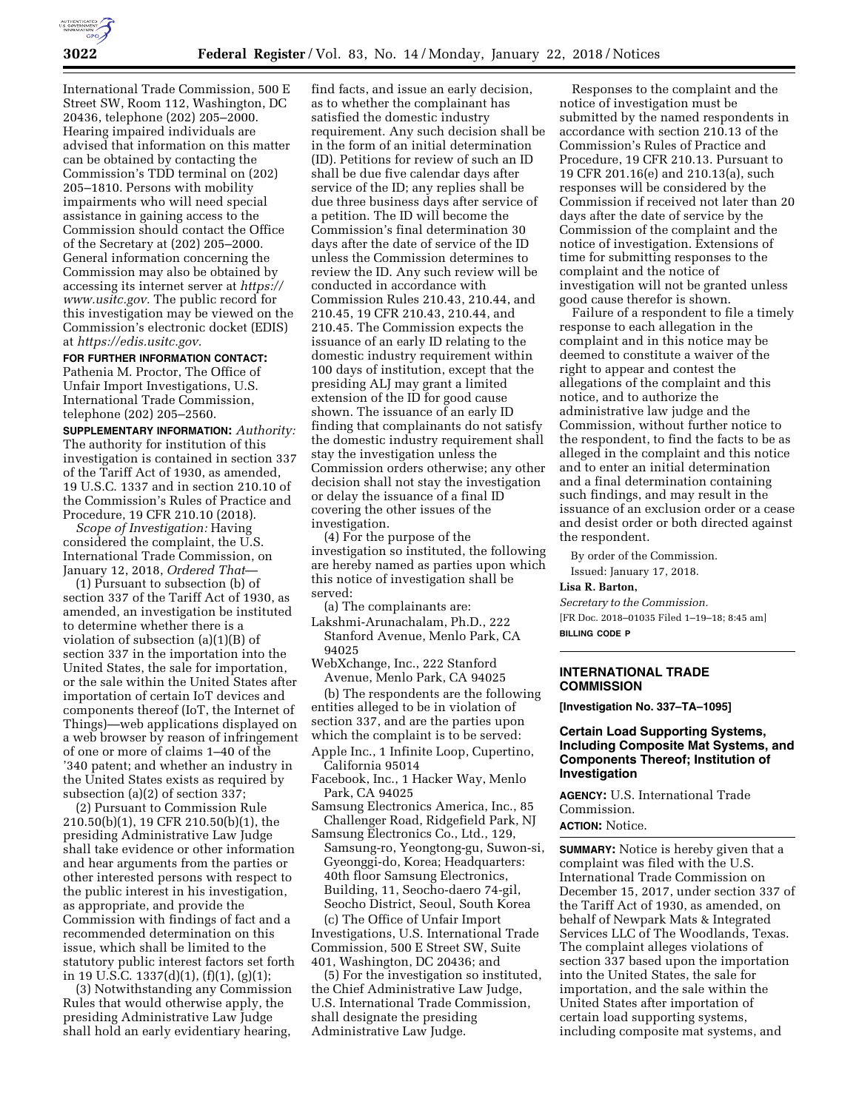

International Trade Commission, 500 E Street SW, Room 112, Washington, DC 20436, telephone (202) 205–2000. Hearing impaired individuals are advised that information on this matter can be obtained by contacting the Commission's TDD terminal on (202) 205–1810. Persons with mobility impairments who will need special assistance in gaining access to the Commission should contact the Office of the Secretary at (202) 205–2000. General information concerning the Commission may also be obtained by accessing its internet server at *[https://](https://www.usitc.gov) [www.usitc.gov.](https://www.usitc.gov)* The public record for this investigation may be viewed on the Commission's electronic docket (EDIS) at *[https://edis.usitc.gov.](https://edis.usitc.gov)* 

**FOR FURTHER INFORMATION CONTACT:** 

Pathenia M. Proctor, The Office of Unfair Import Investigations, U.S. International Trade Commission, telephone (202) 205–2560.

**SUPPLEMENTARY INFORMATION:** *Authority:*  The authority for institution of this investigation is contained in section 337 of the Tariff Act of 1930, as amended, 19 U.S.C. 1337 and in section 210.10 of the Commission's Rules of Practice and Procedure, 19 CFR 210.10 (2018).

*Scope of Investigation:* Having considered the complaint, the U.S. International Trade Commission, on January 12, 2018, *Ordered That*—

(1) Pursuant to subsection (b) of section 337 of the Tariff Act of 1930, as amended, an investigation be instituted to determine whether there is a violation of subsection (a)(1)(B) of section 337 in the importation into the United States, the sale for importation, or the sale within the United States after importation of certain IoT devices and components thereof (IoT, the Internet of Things)—web applications displayed on a web browser by reason of infringement of one or more of claims 1–40 of the '340 patent; and whether an industry in the United States exists as required by subsection (a)(2) of section 337;

(2) Pursuant to Commission Rule 210.50(b)(1), 19 CFR 210.50(b)(1), the presiding Administrative Law Judge shall take evidence or other information and hear arguments from the parties or other interested persons with respect to the public interest in his investigation, as appropriate, and provide the Commission with findings of fact and a recommended determination on this issue, which shall be limited to the statutory public interest factors set forth in 19 U.S.C. 1337(d)(1), (f)(1), (g)(1);

(3) Notwithstanding any Commission Rules that would otherwise apply, the presiding Administrative Law Judge shall hold an early evidentiary hearing,

find facts, and issue an early decision, as to whether the complainant has satisfied the domestic industry requirement. Any such decision shall be in the form of an initial determination (ID). Petitions for review of such an ID shall be due five calendar days after service of the ID; any replies shall be due three business days after service of a petition. The ID will become the Commission's final determination 30 days after the date of service of the ID unless the Commission determines to review the ID. Any such review will be conducted in accordance with Commission Rules 210.43, 210.44, and 210.45, 19 CFR 210.43, 210.44, and 210.45. The Commission expects the issuance of an early ID relating to the domestic industry requirement within 100 days of institution, except that the presiding ALJ may grant a limited extension of the ID for good cause shown. The issuance of an early ID finding that complainants do not satisfy the domestic industry requirement shall stay the investigation unless the Commission orders otherwise; any other decision shall not stay the investigation or delay the issuance of a final ID covering the other issues of the investigation.

(4) For the purpose of the investigation so instituted, the following are hereby named as parties upon which this notice of investigation shall be served:

(a) The complainants are:

- Lakshmi-Arunachalam, Ph.D., 222 Stanford Avenue, Menlo Park, CA 94025
- WebXchange, Inc., 222 Stanford Avenue, Menlo Park, CA 94025

(b) The respondents are the following entities alleged to be in violation of section 337, and are the parties upon which the complaint is to be served: Apple Inc., 1 Infinite Loop, Cupertino,

- California 95014
- Facebook, Inc., 1 Hacker Way, Menlo Park, CA 94025
- Samsung Electronics America, Inc., 85 Challenger Road, Ridgefield Park, NJ
- Samsung Electronics Co., Ltd., 129, Samsung-ro, Yeongtong-gu, Suwon-si, Gyeonggi-do, Korea; Headquarters: 40th floor Samsung Electronics, Building, 11, Seocho-daero 74-gil, Seocho District, Seoul, South Korea (c) The Office of Unfair Import Investigations, U.S. International Trade Commission, 500 E Street SW, Suite 401, Washington, DC 20436; and

(5) For the investigation so instituted, the Chief Administrative Law Judge, U.S. International Trade Commission, shall designate the presiding Administrative Law Judge.

Responses to the complaint and the notice of investigation must be submitted by the named respondents in accordance with section 210.13 of the Commission's Rules of Practice and Procedure, 19 CFR 210.13. Pursuant to 19 CFR 201.16(e) and 210.13(a), such responses will be considered by the Commission if received not later than 20 days after the date of service by the Commission of the complaint and the notice of investigation. Extensions of time for submitting responses to the complaint and the notice of investigation will not be granted unless good cause therefor is shown.

Failure of a respondent to file a timely response to each allegation in the complaint and in this notice may be deemed to constitute a waiver of the right to appear and contest the allegations of the complaint and this notice, and to authorize the administrative law judge and the Commission, without further notice to the respondent, to find the facts to be as alleged in the complaint and this notice and to enter an initial determination and a final determination containing such findings, and may result in the issuance of an exclusion order or a cease and desist order or both directed against the respondent.

By order of the Commission. Issued: January 17, 2018.

**Lisa R. Barton,** 

*Secretary to the Commission.*  [FR Doc. 2018–01035 Filed 1–19–18; 8:45 am] **BILLING CODE P** 

# **INTERNATIONAL TRADE COMMISSION**

**[Investigation No. 337–TA–1095]** 

### **Certain Load Supporting Systems, Including Composite Mat Systems, and Components Thereof; Institution of Investigation**

**AGENCY:** U.S. International Trade Commission.

#### **ACTION:** Notice.

**SUMMARY:** Notice is hereby given that a complaint was filed with the U.S. International Trade Commission on December 15, 2017, under section 337 of the Tariff Act of 1930, as amended, on behalf of Newpark Mats & Integrated Services LLC of The Woodlands, Texas. The complaint alleges violations of section 337 based upon the importation into the United States, the sale for importation, and the sale within the United States after importation of certain load supporting systems, including composite mat systems, and